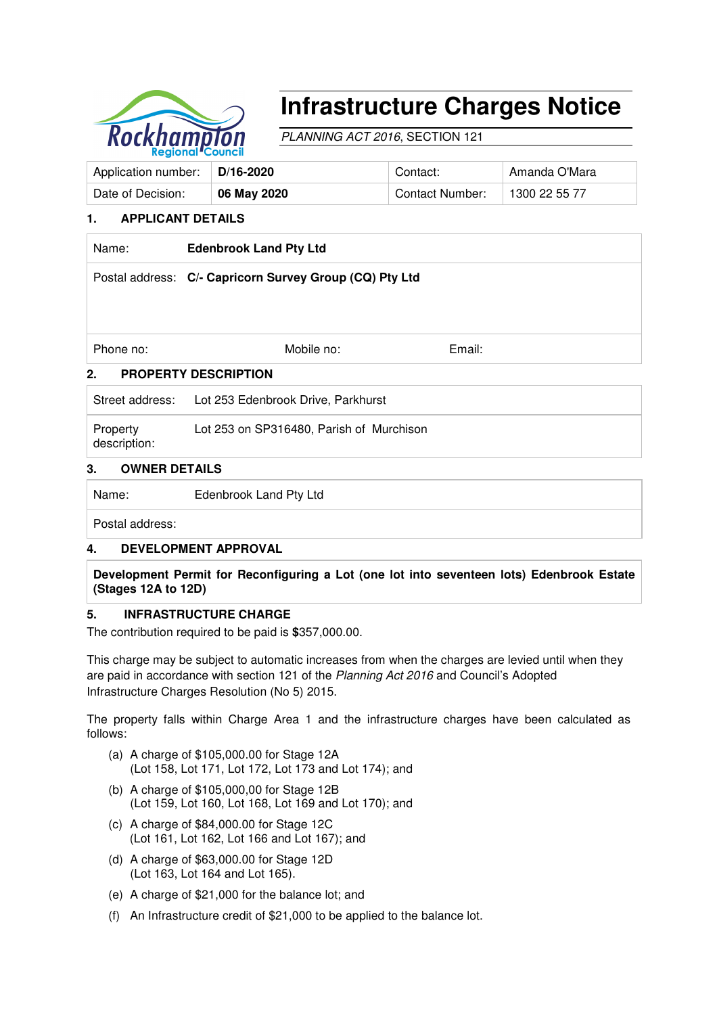

# **Infrastructure Charges Notice**

PLANNING ACT 2016, SECTION 121

| Application number: | D/16-2020   | Contact:        | Amanda O'Mara |
|---------------------|-------------|-----------------|---------------|
| Date of Decision:   | 06 May 2020 | Contact Number: | 1300 22 55 77 |

# **1. APPLICANT DETAILS**

| Name:                             | <b>Edenbrook Land Pty Ltd</b>                           |        |  |  |  |
|-----------------------------------|---------------------------------------------------------|--------|--|--|--|
|                                   | Postal address: C/- Capricorn Survey Group (CQ) Pty Ltd |        |  |  |  |
|                                   |                                                         |        |  |  |  |
| Phone no:                         | Mobile no:                                              | Email: |  |  |  |
| 2.<br><b>PROPERTY DESCRIPTION</b> |                                                         |        |  |  |  |
|                                   | Street address: Lot 253 Edenbrook Drive, Parkhurst      |        |  |  |  |
| Property                          | Lot 253 on SP316480, Parish of Murchison                |        |  |  |  |

description:

### **3. OWNER DETAILS**

Name: Edenbrook Land Pty Ltd

Postal address:

# **4. DEVELOPMENT APPROVAL**

**Development Permit for Reconfiguring a Lot (one lot into seventeen lots) Edenbrook Estate (Stages 12A to 12D)** 

## **5. INFRASTRUCTURE CHARGE**

The contribution required to be paid is **\$**357,000.00.

This charge may be subject to automatic increases from when the charges are levied until when they are paid in accordance with section 121 of the Planning Act 2016 and Council's Adopted Infrastructure Charges Resolution (No 5) 2015.

The property falls within Charge Area 1 and the infrastructure charges have been calculated as follows:

- (a) A charge of \$105,000.00 for Stage 12A (Lot 158, Lot 171, Lot 172, Lot 173 and Lot 174); and
- (b) A charge of \$105,000,00 for Stage 12B (Lot 159, Lot 160, Lot 168, Lot 169 and Lot 170); and
- (c) A charge of \$84,000.00 for Stage 12C (Lot 161, Lot 162, Lot 166 and Lot 167); and
- (d) A charge of \$63,000.00 for Stage 12D (Lot 163, Lot 164 and Lot 165).
- (e) A charge of \$21,000 for the balance lot; and
- (f) An Infrastructure credit of \$21,000 to be applied to the balance lot.